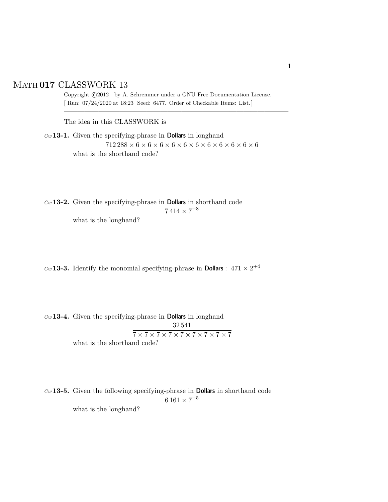## Math **017** CLASSWORK 13

Copyright  $\odot$ 2012 by A. Schremmer under a GNU Free Documentation License. [ Run: 07/24/2020 at 18:23 Seed: 6477. Order of Checkable Items: List.]

————————————————————————————————–

The idea in this CLASSWORK is

*Cw* **13-1.** Given the specifying-phrase in Dollars in longhand 712 288 × 6 × 6 × 6 × 6 × 6 × 6 × 6 × 6 × 6 × 6 × 6 what is the shorthand code?

*Cw* **13-2.** Given the specifying-phrase in Dollars in shorthand code  $7\,414\times7^{+8}$ what is the longhand?

 $C_w$  **13-3.** Identify the monomial specifying-phrase in **Dollars** :  $471 \times 2^{+4}$ 

*Cw* **13-4.** Given the specifying-phrase in Dollars in longhand 32 541  $\overline{7\times7\times7\times7\times7\times7\times7\times7\times7\times7}$ what is the shorthand code?

*Cw* **13-5.** Given the following specifying-phrase in Dollars in shorthand code  $6\,161\times7^{-5}$ 

what is the longhand?